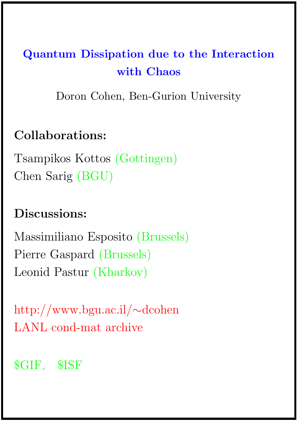# Quantum Dissipation due to the Interaction with Chaos

Doron Cohen, Ben-Gurion University

# Collaborations:

Tsampikos Kottos (Gottingen) Chen Sarig (BGU)

# Discussions:

Massimiliano Esposito (Brussels) Pierre Gaspard (Brussels) Leonid Pastur (Kharkov)

http://www.bgu.ac.il/∼dcohen LANL cond-mat archive

# \$GIF, \$ISF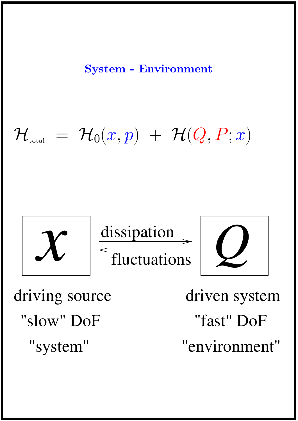System - Environment

# $\mathcal{H}_{\textrm{\tiny{total}}} \;=\; \mathcal{H}_{0}(x,p)\;+\; \mathcal{H}(Q,P;x)$

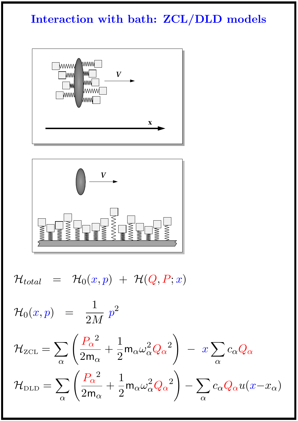# Interaction with bath: ZCL/DLD models





 $\mathcal{H}_{total} \;\;\; = \;\;\; \mathcal{H}_0(x,p) \;\; + \;\; \mathcal{H}(Q,P;x)$ 

$$
\mathcal{H}_0(x, p) = \frac{1}{2M} p^2
$$
\n
$$
\mathcal{H}_{\text{ZCL}} = \sum_{\alpha} \left( \frac{P_{\alpha}^2}{2m_{\alpha}} + \frac{1}{2} m_{\alpha} \omega_{\alpha}^2 Q_{\alpha}^2 \right) - x \sum_{\alpha} c_{\alpha} Q_{\alpha}
$$
\n
$$
\mathcal{H}_{\text{DLD}} = \sum_{\alpha} \left( \frac{P_{\alpha}^2}{2m_{\alpha}} + \frac{1}{2} m_{\alpha} \omega_{\alpha}^2 Q_{\alpha}^2 \right) - \sum_{\alpha} c_{\alpha} Q_{\alpha} u(x - x_{\alpha})
$$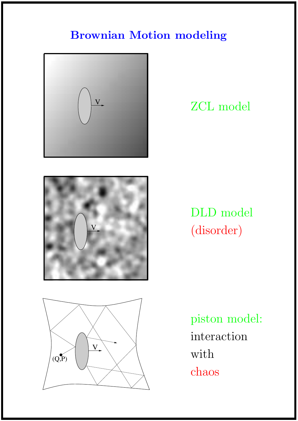# Brownian Motion modeling







# DLD model (disorder)



piston model: interaction with chaos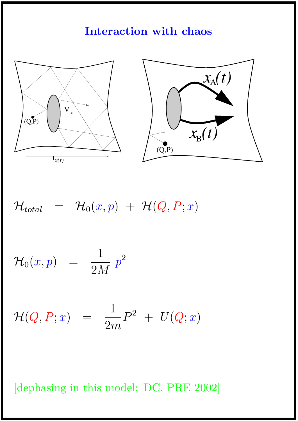#### Interaction with chaos



$$
{\cal H}_{total} = {\cal H}_0(x,p) + {\cal H}(Q,P;x)
$$

 $\mathcal{H}_0(x,p) = \frac{1}{2\pi}$ 2M  $p^2$ 

$$
{\cal H}(Q,P;x) \;\; = \;\; \frac{1}{2m} P^2 \; + \; U(Q;x)
$$

[dephasing in this model: DC, PRE 2002]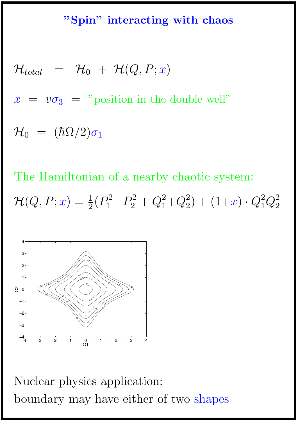#### "Spin" interacting with chaos

$$
\mathcal{H}_{total} = \mathcal{H}_0 + \mathcal{H}(Q, P; x)
$$
  

$$
x = v\sigma_3 = "position in the double well"
$$
\mathcal{H}_0 = (\hbar\Omega/2)\sigma_1
$$
$$

The Hamiltonian of a nearby chaotic system:  $\mathcal{H}(Q,P;x) = \frac{1}{2}(P_1^2)$  $P_1^2 + P_2^2$  $\frac{2}{2} + Q_1^2$  $_1^2 + Q_2^2$  $_2^2$  +  $(1+x) \cdot Q_1^2$  $^2_1Q^2_2$ 2



Nuclear physics application: boundary may have either of two shapes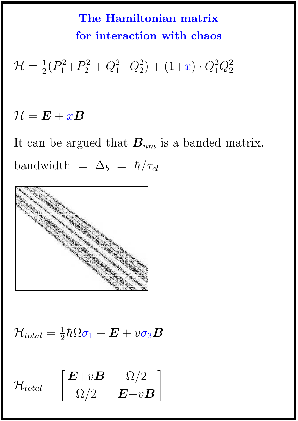The Hamiltonian matrix for interaction with chaos

 $\mathcal{H}=\frac{1}{2}(P_{1}^{2}% ,\mathcal{H}_{1}^{2})$  $P_1^2 + P_2^2$  $\frac{2}{2} + Q_1^2$  $_1^2 + Q_2^2$  $_2^2$  +  $(1+x) \cdot Q_1^2$  $^{2}_{1}Q^{2}_{2}$ 2

# $\mathcal{H} = \boldsymbol{E} + x \boldsymbol{B}$

It can be argued that  $B_{nm}$  is a banded matrix. bandwidth =  $\Delta_b = \hbar / \tau_{cl}$ 



 $\mathcal{H}_{total}=\frac{1}{2}\hbar\Omega\sigma_{1}+\bm{E}+v\sigma_{3}\bm{B}$ 

$$
\mathcal{H}_{total} = \begin{bmatrix} \boldsymbol{E} + v\boldsymbol{B} & \Omega/2\\ \Omega/2 & \boldsymbol{E} - v\boldsymbol{B} \end{bmatrix}
$$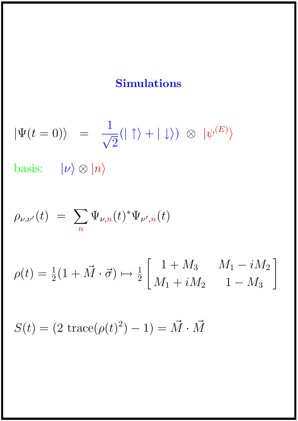# Simulations

$$
|\Psi(t=0)\rangle = \frac{1}{\sqrt{2}}(|\uparrow\rangle + |\downarrow\rangle) \otimes |\psi^{(E)}\rangle
$$

basis:  $|\nu\rangle \otimes |n\rangle$ 

$$
\rho_{\nu,\nu'}(t) = \sum_{n} \Psi_{\nu,n}(t)^* \Psi_{\nu',n}(t)
$$

$$
\rho(t) = \frac{1}{2}(1 + \vec{M} \cdot \vec{\sigma}) \mapsto \frac{1}{2} \begin{bmatrix} 1 + M_3 & M_1 - iM_2 \\ M_1 + iM_2 & 1 - M_3 \end{bmatrix}
$$

 $S(t) = (2 \operatorname{trace}(\rho(t)^2) - 1) = \vec{M} \cdot \vec{M}$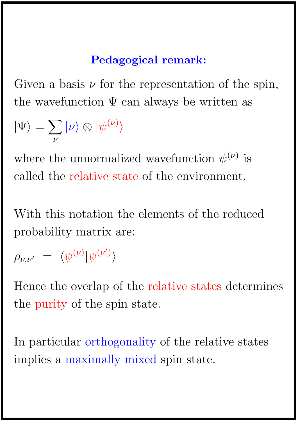# Pedagogical remark:

Given a basis  $\nu$  for the representation of the spin, the wavefunction  $\Psi$  can always be written as

$$
|\Psi\rangle = \sum_{\nu} |\nu\rangle \otimes |\psi^{(\nu)}\rangle
$$

where the unnormalized wavefunction  $\psi^{(\nu)}$  is called the relative state of the environment.

With this notation the elements of the reduced probability matrix are:

$$
\rho_{\nu,\nu'} = \langle \psi^{(\nu)} | \psi^{(\nu')} \rangle
$$

Hence the overlap of the relative states determines the purity of the spin state.

In particular orthogonality of the relative states implies a maximally mixed spin state.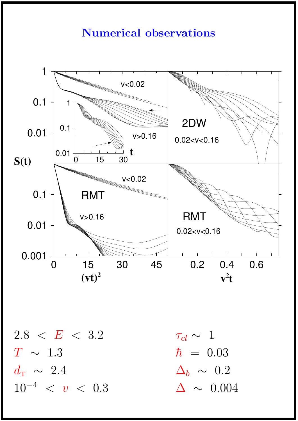#### Numerical observations



 $2.8 < E < 3.2$  $T \sim 1.3$  $d$ <sup>T</sup> ∼ 2.4  $10^{-4}$  < v < 0.3

 $\tau_{cl} \sim 1$  $\hbar = 0.03$  $\Delta_b \sim 0.2$  $\Delta \sim 0.004$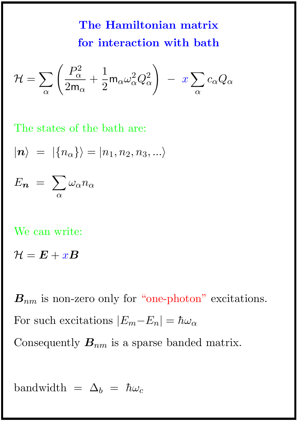The Hamiltonian matrix for interaction with bath

$$
\mathcal{H} = \sum_{\alpha} \left( \frac{P_{\alpha}^2}{2m_{\alpha}} + \frac{1}{2} m_{\alpha} \omega_{\alpha}^2 Q_{\alpha}^2 \right) - x \sum_{\alpha} c_{\alpha} Q_{\alpha}
$$

The states of the bath are:

$$
|\boldsymbol{n}\rangle = |\{n_\alpha\}\rangle = |n_1,n_2,n_3,...\rangle
$$

$$
E_{\boldsymbol{n}}\ =\ \sum_{\alpha} \omega_{\alpha} n_{\alpha}
$$

We can write:

 $\mathcal{H} = \boldsymbol{E} + x \boldsymbol{B}$ 

 $B_{nm}$  is non-zero only for "one-photon" excitations. For such excitations  $|E_m-E_n| = \hbar \omega_\alpha$ Consequently  $B_{nm}$  is a sparse banded matrix.

bandwidth =  $\Delta_b = \hbar \omega_c$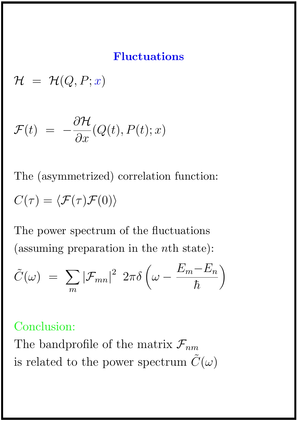#### Fluctuations

 $\mathcal{H} = \mathcal{H}(Q, P; x)$ 

$$
\mathcal{F}(t) = -\frac{\partial \mathcal{H}}{\partial x}(Q(t), P(t); x)
$$

The (asymmetrized) correlation function:  $C(\tau) = \langle \mathcal{F}(\tau) \mathcal{F}(0) \rangle$ 

The power spectrum of the fluctuations (assuming preparation in the nth state):

$$
\tilde{C}(\omega) = \sum_{m} |\mathcal{F}_{mn}|^2 2\pi \delta \left(\omega - \frac{E_m - E_n}{\hbar}\right)
$$

## Conclusion:

The bandprofile of the matrix  $\mathcal{F}_{nm}$ is related to the power spectrum  $\tilde{C}(\omega)$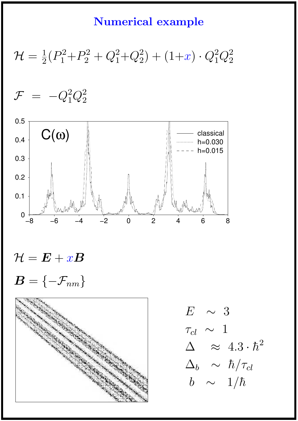#### Numerical example

 $\mathcal{H}=\frac{1}{2}(P_{1}^{2}% ,\mathcal{H}_{1}^{2})$  $P_1^2 + P_2^2$  $\frac{2}{2} + Q_1^2$  $_1^2 + Q_2^2$  $_2^2$  +  $(1+x) \cdot Q_1^2$  $^2_1Q^2_2$ 2

 ${\cal F}$  =  $-Q_1^2$  $^2_1Q^2_2$ 2



 $\mathcal{H} = \boldsymbol{E} + x \boldsymbol{B}$  $\boldsymbol{B} = \{-\mathcal{F}_{nm}\}$ 



 $E \sim 3$  $\tau_{cl}~\sim~1$  $\Delta \quad \approx \ 4.3 \cdot \hbar^2$  $\Delta_b$  ∼  $\hbar/\tau_{cl}$  $b$  ∼ 1/ $\hbar$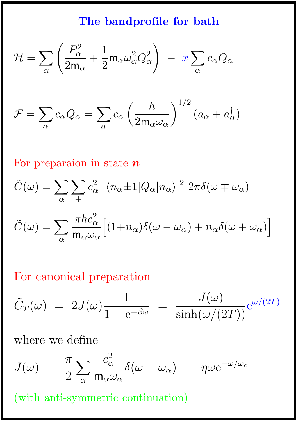# The bandprofile for bath

$$
\mathcal{H} = \sum_{\alpha} \left( \frac{P_{\alpha}^2}{2m_{\alpha}} + \frac{1}{2} m_{\alpha} \omega_{\alpha}^2 Q_{\alpha}^2 \right) - x \sum_{\alpha} c_{\alpha} Q_{\alpha}
$$

$$
\mathcal{F} = \sum_{\alpha} c_{\alpha} Q_{\alpha} = \sum_{\alpha} c_{\alpha} \left( \frac{\hbar}{2m_{\alpha}\omega_{\alpha}} \right)^{1/2} (a_{\alpha} + a_{\alpha}^{\dagger})
$$

For preparaion in state  $n$ 

$$
\tilde{C}(\omega) = \sum_{\alpha} \sum_{\pm} c_{\alpha}^{2} |\langle n_{\alpha} \pm 1 | Q_{\alpha} | n_{\alpha} \rangle|^{2} 2\pi \delta(\omega \mp \omega_{\alpha})
$$

$$
\tilde{C}(\omega) = \sum_{\alpha} \frac{\pi \hbar c_{\alpha}^{2}}{m_{\alpha} \omega_{\alpha}} \Big[ (1 + n_{\alpha}) \delta(\omega - \omega_{\alpha}) + n_{\alpha} \delta(\omega + \omega_{\alpha}) \Big]
$$

# For canonical preparation

$$
\tilde{C}_T(\omega) = 2J(\omega)\frac{1}{1 - e^{-\beta\omega}} = \frac{J(\omega)}{\sinh(\omega/(2T))}e^{\omega/(2T)}
$$

where we define

$$
J(\omega) = \frac{\pi}{2} \sum_{\alpha} \frac{c_{\alpha}^2}{m_{\alpha} \omega_{\alpha}} \delta(\omega - \omega_{\alpha}) = \eta \omega e^{-\omega/\omega_{c}}
$$

(with anti-symmetric continuation)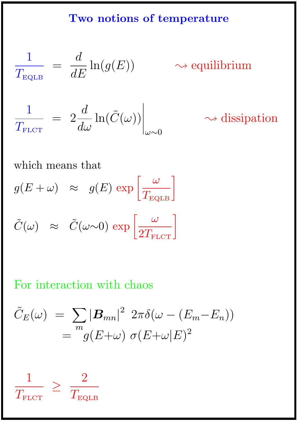#### Two notions of temperature

$$
\frac{1}{T_{\text{EQLB}}} = \frac{d}{dE} \ln(g(E))
$$
  

$$
\frac{1}{T_{\text{FLOT}}} = 2 \frac{d}{d\omega} \ln(\tilde{C}(\omega)) \Big|_{\omega \sim 0}
$$

 $\sim$  equilibrium

 $\rightsquigarrow$  dissipation

which means that

 $g(E+\omega) \;\;\approx\;\; g(E)\,\exp\left[\frac{\omega}{T_{\rm EQLB}}\right]$  $\tilde{C}(\omega) \approx \tilde{C}(\omega \sim 0) \exp \left[\frac{\omega}{2T_{\text{FLCT}}}\right]$ 

## For interaction with chaos

$$
\tilde{C}_E(\omega) = \sum_m |\boldsymbol{B}_{mn}|^2 2\pi \delta(\omega - (E_m - E_n))
$$
  
=  $\frac{m}{g(E + \omega)} \sigma(E + \omega|E)^2$ 

$$
\frac{1}{T_{\text{FLCT}}} \geq \frac{2}{T_{\text{EQLB}}}
$$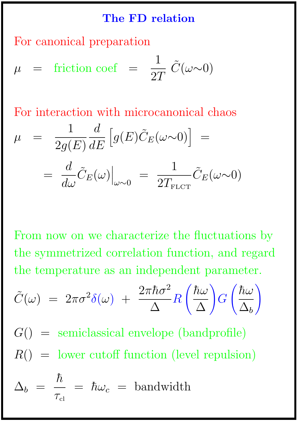#### The FD relation

For canonical preparation

$$
\mu = \text{friction coef} = \frac{1}{2T} \tilde{C}(\omega \sim 0)
$$

For interaction with microcanonical chaos

$$
\mu = \frac{1}{2g(E)} \frac{d}{dE} \left[ g(E)\tilde{C}_E(\omega \sim 0) \right] =
$$

$$
= \frac{d}{d\omega} \tilde{C}_E(\omega) \Big|_{\omega \sim 0} = \frac{1}{2T_{\text{FLCT}}} \tilde{C}_E(\omega \sim 0)
$$

From now on we characterize the fluctuations by the symmetrized correlation function, and regard the temperature as an independent parameter.

$$
\tilde{C}(\omega) = 2\pi\sigma^2\delta(\omega) + \frac{2\pi\hbar\sigma^2}{\Delta}R\left(\frac{\hbar\omega}{\Delta}\right)G\left(\frac{\hbar\omega}{\Delta_b}\right)
$$

 $G()$  = semiclassical envelope (bandprofile)  $R() =$  lower cutoff function (level repulsion)

$$
\Delta_b\,\,=\,\,\frac{\hbar}{\tau_{\rm cl}}\,\,=\,\,\hbar\omega_c\,\,=\,\,\text{bandwidth}
$$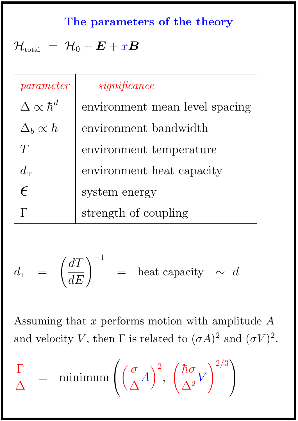## The parameters of the theory

# $\mathcal{H}_{\text{total}} = \mathcal{H}_0 + \boldsymbol{E} + x \boldsymbol{B}$

| parameter                     | significance                   |
|-------------------------------|--------------------------------|
| $\Delta \propto \hbar^{d}$    | environment mean level spacing |
| $\Delta_b \propto \hbar$      | environment bandwidth          |
| T                             | environment temperature        |
| $d_{\scriptscriptstyle\rm T}$ | environment heat capacity      |
| $\epsilon$                    | system energy                  |
|                               | strength of coupling           |

$$
d_{\mathrm{T}} \;\; = \;\; \left(\frac{dT}{dE}\right)^{-1} \;\; = \;\; \text{heat capacity} \;\; \sim \;\, d
$$

Assuming that  $x$  performs motion with amplitude  $A$ and velocity V, then  $\Gamma$  is related to  $(\sigma A)^2$  and  $(\sigma V)^2$ .

$$
\frac{\Gamma}{\Delta} = \min_{\Delta} \left( \left( \frac{\sigma}{\Delta} A \right)^2, \left( \frac{\hbar \sigma}{\Delta^2} V \right)^{2/3} \right)
$$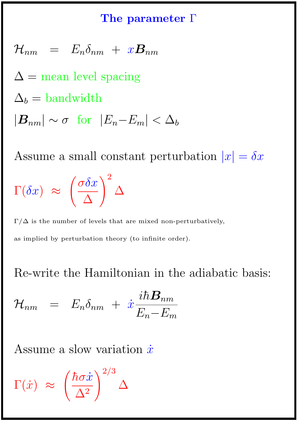#### The parameter Γ

$$
\mathcal{H}_{nm} = E_n \delta_{nm} + x \mathbf{B}_{nm}
$$
  
\n
$$
\Delta = \text{mean level spacing}
$$
  
\n
$$
\Delta_b = \text{bandwidth}
$$
  
\n
$$
|\mathbf{B}_{nm}| \sim \sigma \text{ for } |E_n - E_m| < \Delta_b
$$

Assume a small constant perturbation  $|x| = \delta x$  $\Gamma(\delta x) \approx$  $\int \sigma \delta x$  $\Delta$  $\setminus^2$  $\Delta$ 

 $\Gamma/\Delta$  is the number of levels that are mixed non-perturbatively, as implied by perturbation theory (to infinite order).

Re-write the Hamiltonian in the adiabatic basis:

$$
\mathcal{H}_{nm} = E_n \delta_{nm} + \dot{x} \frac{i\hbar \mathbf{B}_{nm}}{E_n - E_m}
$$

Assume a slow variation  $\dot{x}$ 

$$
\Gamma(\dot{x}) \approx \left(\frac{\hbar \sigma \dot{x}}{\Delta^2}\right)^{2/3} \Delta
$$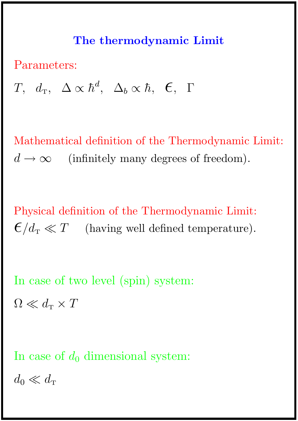#### The thermodynamic Limit

Parameters:

 $T,~~d_{\text{\tiny T}},~~\Delta\propto\hbar^{d}$ ,  $\Delta_b \propto \hbar$ ,  $\epsilon$ ,  $\Gamma$ 

Mathematical definition of the Thermodynamic Limit:  $d \to \infty$  (infinitely many degrees of freedom).

Physical definition of the Thermodynamic Limit:  $\epsilon/d_{\rm T} \ll T$  (having well defined temperature).

In case of two level (spin) system:  $\Omega \ll d_{\rm T} \times T$ 

In case of  $d_0$  dimensional system:

 $d_0 \ll d_{\rm T}$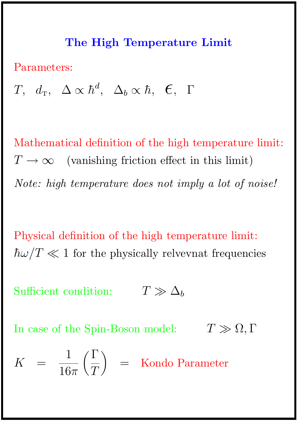#### The High Temperature Limit

Parameters:

 $T,~~d_{\text{T}},~~\Delta\propto\hbar^{d}$ ,  $\Delta_b \propto \hbar$ ,  $\epsilon$ ,  $\Gamma$ 

Mathematical definition of the high temperature limit:  $T \to \infty$  (vanishing friction effect in this limit) Note: high temperature does not imply a lot of noise!

Physical definition of the high temperature limit:  $\hbar\omega/T \ll 1$  for the physically relvevnat frequencies

Sufficient condition:  $T \gg \Delta_b$ 

In case of the Spin-Boson model:  $T \gg \Omega, \Gamma$ 

$$
K = \frac{1}{16\pi} \left(\frac{\Gamma}{T}\right) = \text{Kondo Parameter}
$$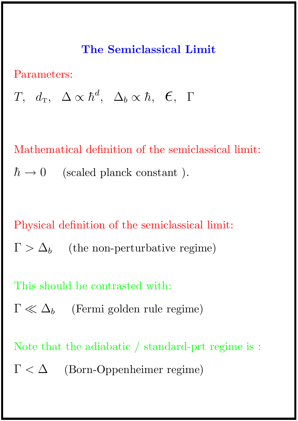# The Semiclassical Limit

Parameters:

 $T,~~d_{\text{T}},~~\Delta\propto\hbar^{d}$ ,  $\Delta_b \propto \hbar$ ,  $\epsilon$ ,  $\Gamma$ 

Mathematical definition of the semiclassical limit:  $\hbar \rightarrow 0$  (scaled planck constant).

Physical definition of the semiclassical limit:

 $\Gamma > \Delta_b$  (the non-perturbative regime)

This should be contrasted with:

 $\Gamma \ll \Delta_b$  (Fermi golden rule regime)

Note that the adiabatic / standard-prt regime is :

 $\Gamma < \Delta$  (Born-Oppenheimer regime)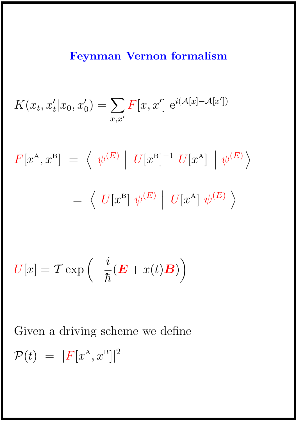# Feynman Vernon formalism

$$
K(x_t, x'_t | x_0, x'_0) = \sum_{x, x'} F[x, x'] e^{i(\mathcal{A}[x] - \mathcal{A}[x'])}
$$

$$
F[x^{A}, x^{B}] = \langle \psi^{(E)} | U[x^{B}]^{-1} U[x^{A}] | \psi^{(E)} \rangle
$$
  
=  $\langle U[x^{B}] \psi^{(E)} | U[x^{A}] \psi^{(E)} \rangle$ 

$$
U[x] = \mathcal{T} \exp\left(-\frac{i}{\hbar}(\boldsymbol{E} + x(t)\boldsymbol{B})\right)
$$

Given a driving scheme we define  $\mathcal{P}(t) = |F[x^{\text{A}}, x^{\text{B}}]|^2$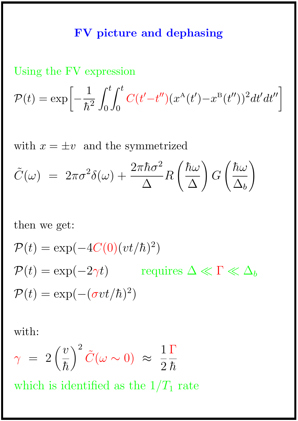## FV picture and dephasing

## Using the FV expression

$$
\mathcal{P}(t) = \exp\left[-\frac{1}{\hbar^2} \int_0^t \int_0^t C(t'-t'')(x^{\mathcal{A}}(t') - x^{\mathcal{B}}(t''))^2 dt'dt''\right]
$$

with  $x = \pm v$  and the symmetrized

$$
\tilde{C}(\omega) = 2\pi\sigma^2\delta(\omega) + \frac{2\pi\hbar\sigma^2}{\Delta}R\left(\frac{\hbar\omega}{\Delta}\right)G\left(\frac{\hbar\omega}{\Delta_b}\right)
$$

then we get:

$$
\mathcal{P}(t) = \exp(-4C(0)(vt/\hbar)^{2})
$$
  
\n
$$
\mathcal{P}(t) = \exp(-2\gamma t) \quad \text{requires } \Delta \ll \Gamma \ll \Delta_{b}
$$
  
\n
$$
\mathcal{P}(t) = \exp(-(\sigma vt/\hbar)^{2})
$$

with:

$$
\gamma = 2\left(\frac{v}{\hbar}\right)^2 \tilde{C}(\omega \sim 0) \approx \frac{1}{2} \frac{\Gamma}{\hbar}
$$

which is identified as the  $1/T_1$  rate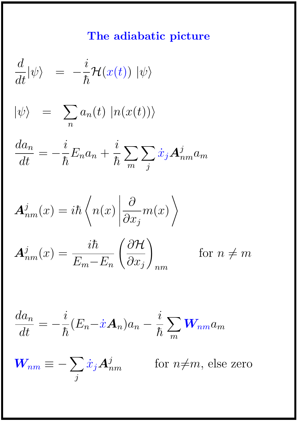# The adiabatic picture

$$
\frac{d}{dt}|\psi\rangle = -\frac{i}{\hbar}\mathcal{H}(x(t)) |\psi\rangle
$$

$$
|\psi\rangle = \sum_{n} a_n(t) |n(x(t))\rangle
$$

$$
\frac{da_n}{dt} = -\frac{i}{\hbar}E_n a_n + \frac{i}{\hbar} \sum_m \sum_j \dot{x}_j A^j_{nm} a_m
$$

$$
\mathbf{A}_{nm}^j(x) = i\hbar \left\langle n(x) \left| \frac{\partial}{\partial x_j} m(x) \right\rangle \right\}
$$

$$
\mathbf{A}_{nm}^j(x) = \frac{i\hbar}{E_m - E_n} \left(\frac{\partial \mathcal{H}}{\partial x_j}\right)_{nm} \quad \text{for } n \neq m
$$

$$
\frac{da_n}{dt} = -\frac{i}{\hbar}(E_n - \dot{x}\mathbf{A}_n)a_n - \frac{i}{\hbar}\sum_m \mathbf{W}_{nm}a_m
$$

$$
W_{nm} \equiv -\sum_{j} \dot{x}_j A_{nm}^j \qquad \text{for } n \neq m, \text{ else zero}
$$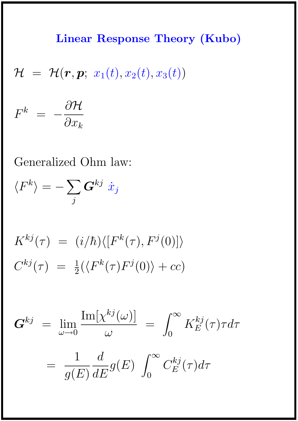# Linear Response Theory (Kubo)

$$
\mathcal{H} = \mathcal{H}(\boldsymbol{r},\boldsymbol{p};\ x_1(t),x_2(t),x_3(t))
$$

 $F^k$  =  $\partial \mathcal{H}$  $\partial x_k$ 

Generalized Ohm law:

$$
\langle F^k \rangle = - \sum_j \bm{G}^{kj} \; \dot{x}_j
$$

$$
K^{kj}(\tau) = (i/\hbar)\langle [F^k(\tau), F^j(0)]\rangle
$$
  

$$
C^{kj}(\tau) = \frac{1}{2}(\langle F^k(\tau)F^j(0)\rangle + cc)
$$

$$
G^{kj} = \lim_{\omega \to 0} \frac{\text{Im}[\chi^{kj}(\omega)]}{\omega} = \int_0^\infty K_E^{kj}(\tau) \tau d\tau
$$

$$
= \frac{1}{g(E)} \frac{d}{dE} g(E) \int_0^\infty C_E^{kj}(\tau) d\tau
$$